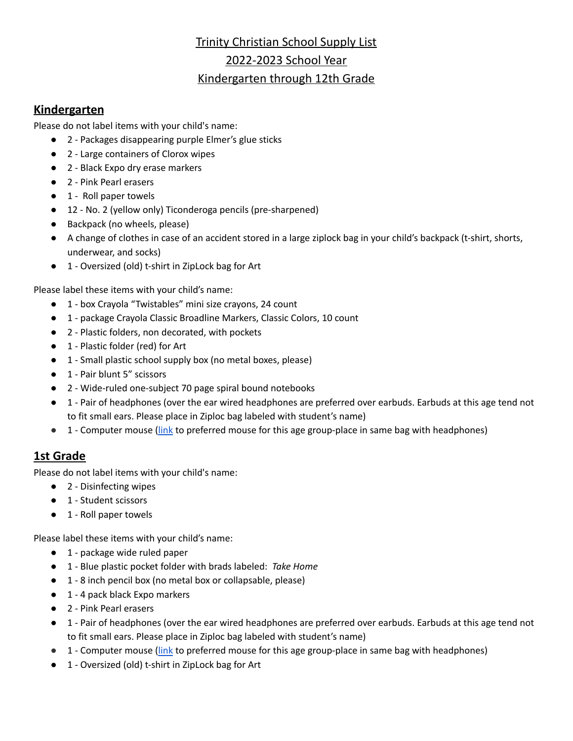# Trinity Christian School Supply List 2022-2023 School Year

## Kindergarten through 12th Grade

## **Kindergarten**

Please do not label items with your child's name:

- 2 Packages disappearing purple Elmer's glue sticks
- 2 Large containers of Clorox wipes
- 2 Black Expo dry erase markers
- 2 Pink Pearl erasers
- 1 Roll paper towels
- 12 No. 2 (yellow only) Ticonderoga pencils (pre-sharpened)
- Backpack (no wheels, please)
- A change of clothes in case of an accident stored in a large ziplock bag in your child's backpack (t-shirt, shorts, underwear, and socks)
- 1 Oversized (old) t-shirt in ZipLock bag for Art

Please label these items with your child's name:

- 1 box Crayola "Twistables" mini size crayons, 24 count
- 1 package Crayola Classic Broadline Markers, Classic Colors, 10 count
- 2 Plastic folders, non decorated, with pockets
- 1 Plastic folder (red) for Art
- 1 Small plastic school supply box (no metal boxes, please)
- 1 Pair blunt 5" scissors
- 2 Wide-ruled one-subject 70 page spiral bound notebooks
- 1 Pair of headphones (over the ear wired headphones are preferred over earbuds. Earbuds at this age tend not to fit small ears. Please place in Ziploc bag labeled with student's name)
- 1 Computer mouse [\(link](https://www.walmart.com/ip/onn-Optical-Travel-Mouse-with-2-2-ft-Retractable-USB-cable-3-buttons/369633801) to preferred mouse for this age group-place in same bag with headphones)

# **1st Grade**

Please do not label items with your child's name:

- 2 Disinfecting wipes
- 1 Student scissors
- 1 Roll paper towels

Please label these items with your child's name:

- 1 package wide ruled paper
- 1 Blue plastic pocket folder with brads labeled: *Take Home*
- 1 8 inch pencil box (no metal box or collapsable, please)
- 1 4 pack black Expo markers
- 2 Pink Pearl erasers
- 1 Pair of headphones (over the ear wired headphones are preferred over earbuds. Earbuds at this age tend not to fit small ears. Please place in Ziploc bag labeled with student's name)
- 1 Computer mouse [\(link](https://www.walmart.com/ip/onn-Optical-Travel-Mouse-with-2-2-ft-Retractable-USB-cable-3-buttons/369633801) to preferred mouse for this age group-place in same bag with headphones)
- 1 Oversized (old) t-shirt in ZipLock bag for Art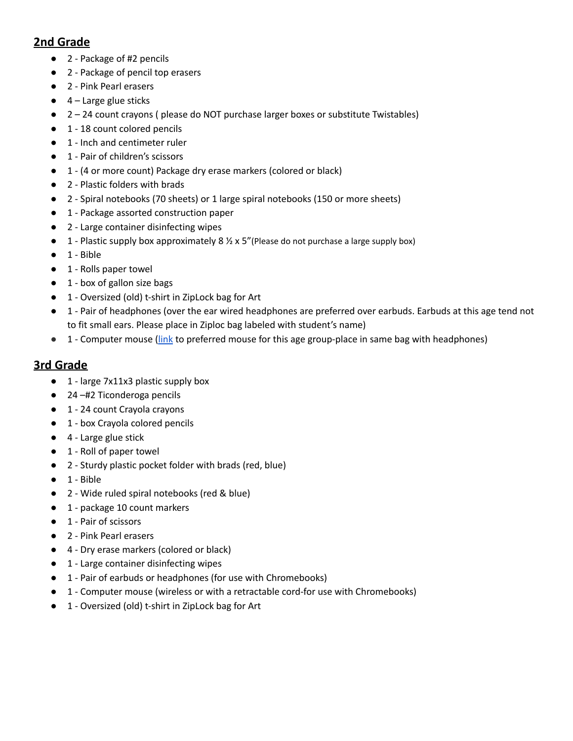## **2nd Grade**

- 2 Package of #2 pencils
- 2 Package of pencil top erasers
- 2 Pink Pearl erasers
- $\bullet$  4 Large glue sticks
- 2 24 count crayons ( please do NOT purchase larger boxes or substitute Twistables)
- 1 18 count colored pencils
- 1 Inch and centimeter ruler
- 1 Pair of children's scissors
- 1 (4 or more count) Package dry erase markers (colored or black)
- 2 Plastic folders with brads
- 2 Spiral notebooks (70 sheets) or 1 large spiral notebooks (150 or more sheets)
- 1 Package assorted construction paper
- 2 Large container disinfecting wipes
- **•** 1 Plastic supply box approximately 8  $\frac{1}{2}$  x 5" (Please do not purchase a large supply box)
- 1 Bible
- 1 Rolls paper towel
- 1 box of gallon size bags
- 1 Oversized (old) t-shirt in ZipLock bag for Art
- 1 Pair of headphones (over the ear wired headphones are preferred over earbuds. Earbuds at this age tend not to fit small ears. Please place in Ziploc bag labeled with student's name)
- 1 Computer mouse [\(link](https://www.walmart.com/ip/onn-Optical-Travel-Mouse-with-2-2-ft-Retractable-USB-cable-3-buttons/369633801) to preferred mouse for this age group-place in same bag with headphones)

#### **3rd Grade**

- 1 large 7x11x3 plastic supply box
- 24 –#2 Ticonderoga pencils
- 1 24 count Crayola crayons
- 1 box Crayola colored pencils
- 4 Large glue stick
- 1 Roll of paper towel
- 2 Sturdy plastic pocket folder with brads (red, blue)
- 1 Bible
- 2 Wide ruled spiral notebooks (red & blue)
- 1 package 10 count markers
- 1 Pair of scissors
- 2 Pink Pearl erasers
- 4 Dry erase markers (colored or black)
- 1 Large container disinfecting wipes
- 1 Pair of earbuds or headphones (for use with Chromebooks)
- 1 Computer mouse (wireless or with a retractable cord-for use with Chromebooks)
- 1 Oversized (old) t-shirt in ZipLock bag for Art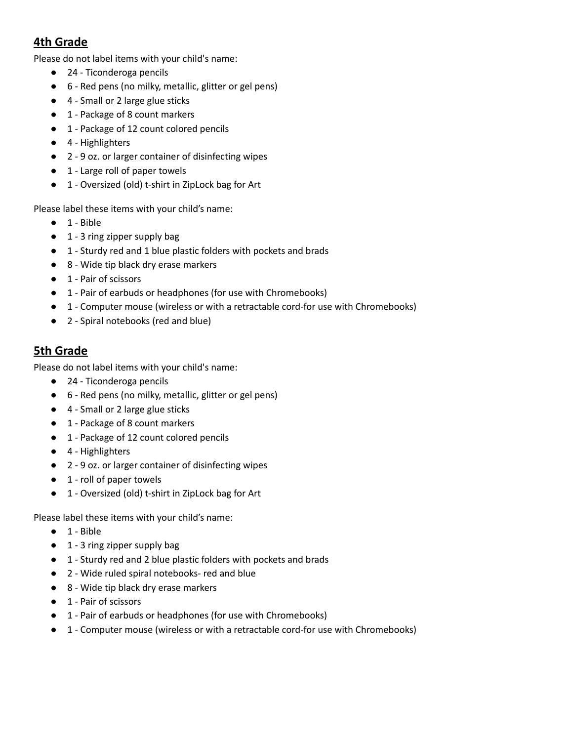## **4th Grade**

Please do not label items with your child's name:

- 24 Ticonderoga pencils
- 6 Red pens (no milky, metallic, glitter or gel pens)
- 4 Small or 2 large glue sticks
- 1 Package of 8 count markers
- 1 Package of 12 count colored pencils
- 4 Highlighters
- 2 9 oz. or larger container of disinfecting wipes
- 1 Large roll of paper towels
- 1 Oversized (old) t-shirt in ZipLock bag for Art

Please label these items with your child's name:

- 1 Bible
- 1 3 ring zipper supply bag
- 1 Sturdy red and 1 blue plastic folders with pockets and brads
- 8 Wide tip black dry erase markers
- 1 Pair of scissors
- 1 Pair of earbuds or headphones (for use with Chromebooks)
- 1 Computer mouse (wireless or with a retractable cord-for use with Chromebooks)
- 2 Spiral notebooks (red and blue)

### **5th Grade**

Please do not label items with your child's name:

- 24 Ticonderoga pencils
- 6 Red pens (no milky, metallic, glitter or gel pens)
- 4 Small or 2 large glue sticks
- 1 Package of 8 count markers
- 1 Package of 12 count colored pencils
- 4 Highlighters
- 2 9 oz. or larger container of disinfecting wipes
- 1 roll of paper towels
- 1 Oversized (old) t-shirt in ZipLock bag for Art

Please label these items with your child's name:

- 1 Bible
- 1 3 ring zipper supply bag
- 1 Sturdy red and 2 blue plastic folders with pockets and brads
- 2 Wide ruled spiral notebooks- red and blue
- 8 Wide tip black dry erase markers
- 1 Pair of scissors
- 1 Pair of earbuds or headphones (for use with Chromebooks)
- 1 Computer mouse (wireless or with a retractable cord-for use with Chromebooks)